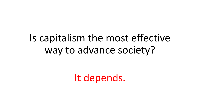# Is capitalism the most effective way to advance society?

It depends.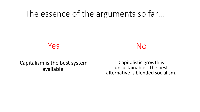### The essence of the arguments so far...

Yes

No

Capitalism is the best system available.

Capitalistic growth is unsustainable. The best alternative is blended socialism.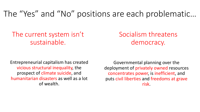#### The "Yes" and "No" positions are each problematic…

#### The current system isn't sustainable.

Socialism threatens democracy.

Entrepreneurial capitalism has created vicious structural inequality, the prospect of climate suicide, and humanitarian disasters as well as a lot of wealth.

Governmental planning over the deployment of privately owned resources concentrates power, is inefficient, and puts civil liberties and freedoms at grave risk.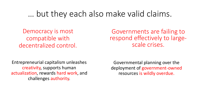### … but they each also make valid claims.

Democracy is most compatible with decentralized control.

Entrepreneurial capitalism unleashes creativity, supports human actualization, rewards hard work, and challenges authority.

Governments are failing to respond effectively to largescale crises.

Governmental planning over the deployment of government-owned resources is wildly overdue.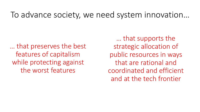#### To advance society, we need system innovation…

… that preserves the best features of capitalism while protecting against the worst features

… that supports the strategic allocation of public resources in ways that are rational and coordinated and efficient and at the tech frontier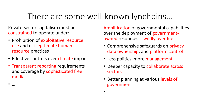## There are some well-known lynchpins…

Private-sector capitalism must be constrained to operate under:

- Prohibition of exploitative resource use and of illegitimate humanresource practices
- Effective controls over climate impact
- Transparent reporting requirements and coverage by sophisticated free media

• …

Amplification of governmental capabilities over the deployment of governmentowned resources is wildly overdue.

- Comprehensive safeguards on privacy, data ownership, and platform control
- Less politics, more management
- Deeper capacity to collaborate across sectors
- Better planning at various levels of government

• …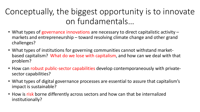# Conceptually, the biggest opportunity is to innovate on fundamentals…

- What types of governance innovations are necessary to direct capitalistic activity markets and entrepreneurship – toward resolving climate change and other grand challenges?
- What types of institutions for governing communities cannot withstand marketbased capitalism? What do we lose with capitalism, and how can we deal with that problem?
- How can robust public-sector capabilities develop contemporaneously with privatesector capabilities?
- What types of digital governance processes are essential to assure that capitalism's impact is sustainable?
- How is risk borne differently across sectors and how can that be internalized institutionally?